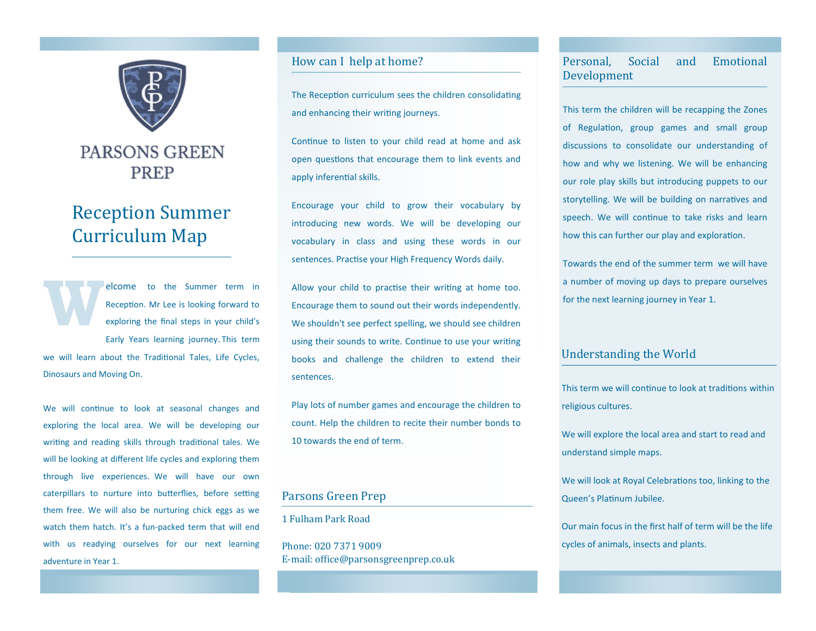

## **PARSONS GREEN PREP**

# Reception Summer Curriculum Map

**W** elcome to the Summer term in Reception. Mr Lee is looking forward to exploring the final steps in your child's Early Years learning journey. This term we will learn about the Traditional Tales, Life Cycles,

Dinosaurs and Moving On.

We will continue to look at seasonal changes and exploring the local area. We will be developing our writing and reading skills through traditional tales. We will be looking at different life cycles and exploring them through live experiences. We will have our own caterpillars to nurture into butterflies, before setting them free. We will also be nurturing chick eggs as we watch them hatch. It's a fun-packed term that will end with us readying ourselves for our next learning adventure in Year 1.

## How can I help at home?

The Reception curriculum sees the children consolidating and enhancing their writing journeys.

Continue to listen to your child read at home and ask open questions that encourage them to link events and apply inferential skills.

Encourage your child to grow their vocabulary by introducing new words. We will be developing our vocabulary in class and using these words in our sentences. Practise your High Frequency Words daily.

Allow your child to practise their writing at home too. Encourage them to sound out their words independently. We shouldn't see perfect spelling, we should see children using their sounds to write. Continue to use your writing books and challenge the children to extend their sentences.

Play lots of number games and encourage the children to count. Help the children to recite their number bonds to 10 towards the end of term.

## Parsons Green Prep

1 Fulham Park Road

Phone: 020 7371 9009 E-mail: office@parsonsgreenprep.co.uk

## Personal, Social and Emotional Development

This term the children will be recapping the Zones of Regulation, group games and small group discussions to consolidate our understanding of how and why we listening. We will be enhancing our role play skills but introducing puppets to our storytelling. We will be building on narratives and speech. We will continue to take risks and learn how this can further our play and exploration.

Towards the end of the summer term we will have a number of moving up days to prepare ourselves for the next learning journey in Year 1.

## Understanding the World

This term we will continue to look at traditions within religious cultures.

We will explore the local area and start to read and understand simple maps.

We will look at Royal Celebrations too, linking to the Queen's Platinum Jubilee.

Our main focus in the first half of term will be the life cycles of animals, insects and plants.